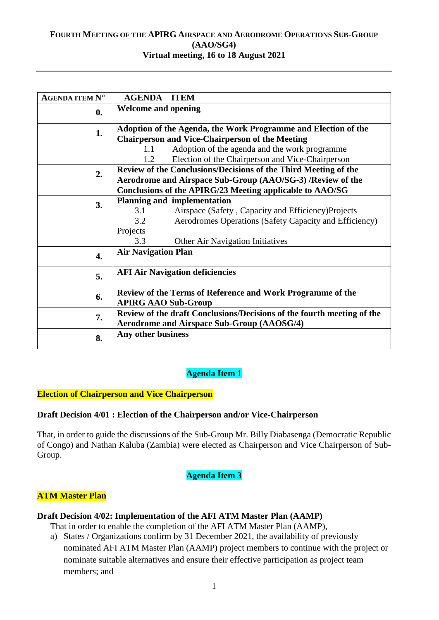### **FOURTH MEETING OF THE APIRG AIRSPACE AND AERODROME OPERATIONS SUB-GROUP (AAO/SG4) Virtual meeting, 16 to 18 August 2021**

| <b>AGENDA ITEM Nº</b> | <b>AGENDA ITEM</b>                                                                       |
|-----------------------|------------------------------------------------------------------------------------------|
| $\mathbf{0}$ .        | <b>Welcome and opening</b>                                                               |
| 1.                    | Adoption of the Agenda, the Work Programme and Election of the                           |
|                       | <b>Chairperson and Vice-Chairperson of the Meeting</b>                                   |
|                       | Adoption of the agenda and the work programme<br>1.1                                     |
|                       | Election of the Chairperson and Vice-Chairperson<br>1.2                                  |
| 2.                    | Review of the Conclusions/Decisions of the Third Meeting of the                          |
|                       | Aerodrome and Airspace Sub-Group (AAO/SG-3) /Review of the                               |
|                       | Conclusions of the APIRG/23 Meeting applicable to AAO/SG                                 |
| 3.                    | <b>Planning and implementation</b>                                                       |
|                       | 3.1<br>Airspace (Safety, Capacity and Efficiency)Projects                                |
|                       | 3.2<br>Aerodromes Operations (Safety Capacity and Efficiency)                            |
|                       | Projects                                                                                 |
|                       | 3.3<br>Other Air Navigation Initiatives                                                  |
| $\overline{4}$ .      | <b>Air Navigation Plan</b>                                                               |
| 5.                    | <b>AFI Air Navigation deficiencies</b>                                                   |
| 6.                    | Review of the Terms of Reference and Work Programme of the<br><b>APIRG AAO Sub-Group</b> |
| 7.                    | Review of the draft Conclusions/Decisions of the fourth meeting of the                   |
|                       | <b>Aerodrome and Airspace Sub-Group (AAOSG/4)</b>                                        |
| 8.                    | Any other business                                                                       |

# **Agenda Item 1**

## **Election of Chairperson and Vice Chairperson**

### **Draft Decision 4/01 : Election of the Chairperson and/or Vice-Chairperson**

That, in order to guide the discussions of the Sub-Group Mr. Billy Diabasenga (Democratic Republic of Congo) and Nathan Kaluba (Zambia) were elected as Chairperson and Vice Chairperson of Sub-Group.

### **Agenda Item 3**

## **ATM Master Plan**

### **Draft Decision 4/02: Implementation of the AFI ATM Master Plan (AAMP)**

That in order to enable the completion of the AFI ATM Master Plan (AAMP),

a) States / Organizations confirm by 31 December 2021, the availability of previously nominated AFI ATM Master Plan (AAMP) project members to continue with the project or nominate suitable alternatives and ensure their effective participation as project team members; and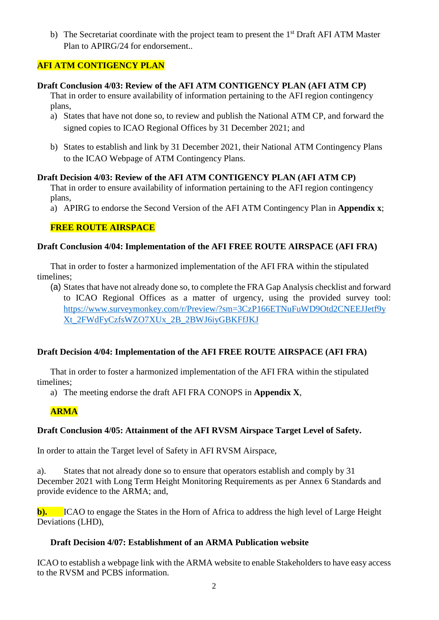b) The Secretariat coordinate with the project team to present the 1<sup>st</sup> Draft AFI ATM Master Plan to APIRG/24 for endorsement.

# **AFI ATM CONTIGENCY PLAN**

### **Draft Conclusion 4/03: Review of the AFI ATM CONTIGENCY PLAN (AFI ATM CP)**

That in order to ensure availability of information pertaining to the AFI region contingency plans,

- a) States that have not done so, to review and publish the National ATM CP, and forward the signed copies to ICAO Regional Offices by 31 December 2021; and
- b) States to establish and link by 31 December 2021, their National ATM Contingency Plans to the ICAO Webpage of ATM Contingency Plans.

## **Draft Decision 4/03: Review of the AFI ATM CONTIGENCY PLAN (AFI ATM CP)**

That in order to ensure availability of information pertaining to the AFI region contingency plans,

a) APIRG to endorse the Second Version of the AFI ATM Contingency Plan in **Appendix x**;

## **FREE ROUTE AIRSPACE**

### **Draft Conclusion 4/04: Implementation of the AFI FREE ROUTE AIRSPACE (AFI FRA)**

That in order to foster a harmonized implementation of the AFI FRA within the stipulated timelines;

(a) States that have not already done so, to complete the FRA Gap Analysis checklist and forward to ICAO Regional Offices as a matter of urgency, using the provided survey tool: [https://www.surveymonkey.com/r/Preview/?sm=3CzP166ETNuFuWD9Otd2CNEEJJetf9y](https://www.surveymonkey.com/r/Preview/?sm=3CzP166ETNuFuWD9Otd2CNEEJJetf9yXt_2FWdFyCzfsWZO7XUx_2B_2BWJ6iyGBKFfJKJ) [Xt\\_2FWdFyCzfsWZO7XUx\\_2B\\_2BWJ6iyGBKFfJKJ](https://www.surveymonkey.com/r/Preview/?sm=3CzP166ETNuFuWD9Otd2CNEEJJetf9yXt_2FWdFyCzfsWZO7XUx_2B_2BWJ6iyGBKFfJKJ)

## **Draft Decision 4/04: Implementation of the AFI FREE ROUTE AIRSPACE (AFI FRA)**

That in order to foster a harmonized implementation of the AFI FRA within the stipulated timelines;

a) The meeting endorse the draft AFI FRA CONOPS in **Appendix X**,

## **ARMA**

## **Draft Conclusion 4/05: Attainment of the AFI RVSM Airspace Target Level of Safety.**

In order to attain the Target level of Safety in AFI RVSM Airspace,

a). States that not already done so to ensure that operators establish and comply by 31 December 2021 with Long Term Height Monitoring Requirements as per Annex 6 Standards and provide evidence to the ARMA; and,

**b**). ICAO to engage the States in the Horn of Africa to address the high level of Large Height Deviations (LHD),

## **Draft Decision 4/07: Establishment of an ARMA Publication website**

ICAO to establish a webpage link with the ARMA website to enable Stakeholders to have easy access to the RVSM and PCBS information.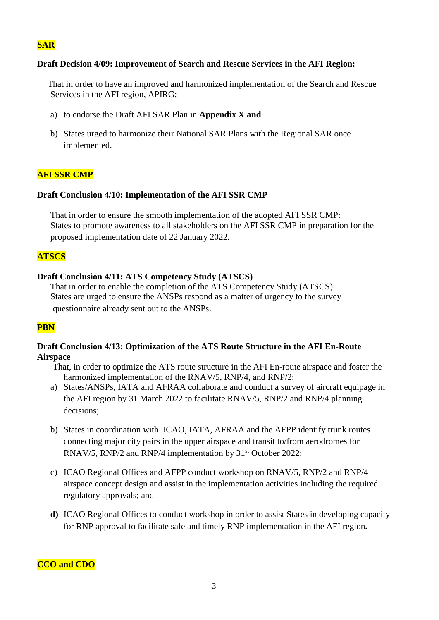## **SAR**

### **Draft Decision 4/09: Improvement of Search and Rescue Services in the AFI Region:**

That in order to have an improved and harmonized implementation of the Search and Rescue Services in the AFI region, APIRG:

- a) to endorse the Draft AFI SAR Plan in **Appendix X and**
- b) States urged to harmonize their National SAR Plans with the Regional SAR once implemented.

#### **AFI SSR CMP**

#### **Draft Conclusion 4/10: Implementation of the AFI SSR CMP**

That in order to ensure the smooth implementation of the adopted AFI SSR CMP: States to promote awareness to all stakeholders on the AFI SSR CMP in preparation for the proposed implementation date of 22 January 2022.

### **ATSCS**

#### **Draft Conclusion 4/11: ATS Competency Study (ATSCS)**

That in order to enable the completion of the ATS Competency Study (ATSCS): States are urged to ensure the ANSPs respond as a matter of urgency to the survey questionnaire already sent out to the ANSPs.

#### **PBN**

### **Draft Conclusion 4/13: Optimization of the ATS Route Structure in the AFI En-Route Airspace**

That, in order to optimize the ATS route structure in the AFI En-route airspace and foster the harmonized implementation of the RNAV/5, RNP/4, and RNP/2:

- a) States/ANSPs, IATA and AFRAA collaborate and conduct a survey of aircraft equipage in the AFI region by 31 March 2022 to facilitate RNAV/5, RNP/2 and RNP/4 planning decisions;
- b) States in coordination with ICAO, IATA, AFRAA and the AFPP identify trunk routes connecting major city pairs in the upper airspace and transit to/from aerodromes for RNAV/5, RNP/2 and RNP/4 implementation by 31<sup>st</sup> October 2022;
- c) ICAO Regional Offices and AFPP conduct workshop on RNAV/5, RNP/2 and RNP/4 airspace concept design and assist in the implementation activities including the required regulatory approvals; and
- **d)** ICAO Regional Offices to conduct workshop in order to assist States in developing capacity for RNP approval to facilitate safe and timely RNP implementation in the AFI region**.**

#### **CCO and CDO**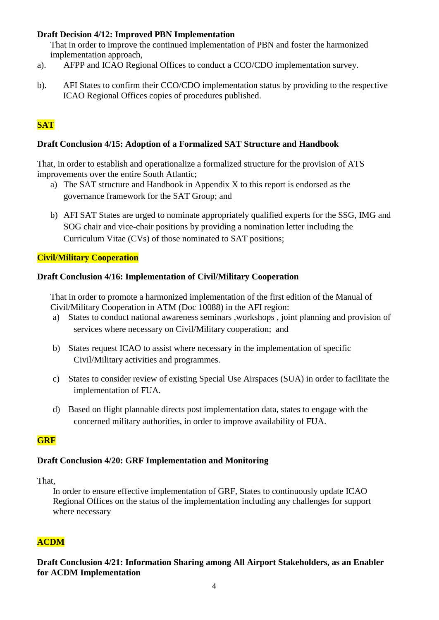# **Draft Decision 4/12: Improved PBN Implementation**

That in order to improve the continued implementation of PBN and foster the harmonized implementation approach,

- a). AFPP and ICAO Regional Offices to conduct a CCO/CDO implementation survey.
- b). AFI States to confirm their CCO/CDO implementation status by providing to the respective ICAO Regional Offices copies of procedures published.

# **SAT**

## **Draft Conclusion 4/15: Adoption of a Formalized SAT Structure and Handbook**

That, in order to establish and operationalize a formalized structure for the provision of ATS improvements over the entire South Atlantic;

- a) The SAT structure and Handbook in Appendix X to this report is endorsed as the governance framework for the SAT Group; and
- b) AFI SAT States are urged to nominate appropriately qualified experts for the SSG, IMG and SOG chair and vice-chair positions by providing a nomination letter including the Curriculum Vitae (CVs) of those nominated to SAT positions;

### **Civil/Military Cooperation**

### **Draft Conclusion 4/16: Implementation of Civil/Military Cooperation**

That in order to promote a harmonized implementation of the first edition of the Manual of Civil/Military Cooperation in ATM (Doc 10088) in the AFI region:

- a) States to conduct national awareness seminars ,workshops , joint planning and provision of services where necessary on Civil/Military cooperation; and
- b) States request ICAO to assist where necessary in the implementation of specific Civil/Military activities and programmes.
- c) States to consider review of existing Special Use Airspaces (SUA) in order to facilitate the implementation of FUA.
- d) Based on flight plannable directs post implementation data, states to engage with the concerned military authorities, in order to improve availability of FUA.

## **GRF**

## **Draft Conclusion 4/20: GRF Implementation and Monitoring**

That,

In order to ensure effective implementation of GRF, States to continuously update ICAO Regional Offices on the status of the implementation including any challenges for support where necessary

## **ACDM**

**Draft Conclusion 4/21: Information Sharing among All Airport Stakeholders, as an Enabler for ACDM Implementation**